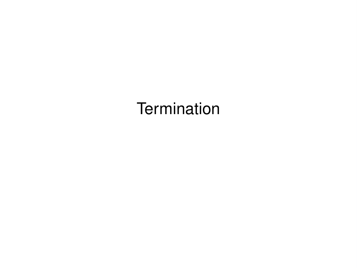# **Termination**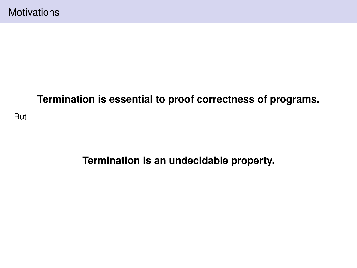# **Termination is essential to proof correctness of programs.**

But

**Termination is an undecidable property.**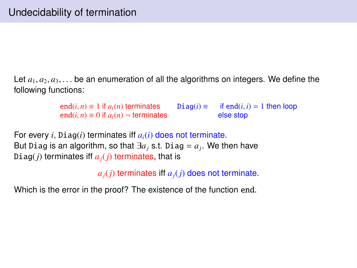Let  $a_1, a_2, a_3, \ldots$  be an enumeration of all the algorithms on integers. We define the following functions:

> end(*i*, *n*) ≡ 1 if  $a_i(n)$  terminates Diag(*i*) ≡ if end(*i*, *i*) = 1 then loop end(*i*, *n*) ≡ 0 if  $a_i(n)$  → terminates else stop end(*i*, *n*) ≡ 0 if  $a_i(n)$  ¬ terminates else stop

For every *i*, Diag(*i*) terminates iff *ai*(*i*) does not terminate. But Diag is an algorithm, so that  $\exists a_j$  s.t. Diag =  $a_j$ . We then have Diag( $j$ ) terminates if  $a_j$ ( $j$ ) terminates, that is

*aj*(*j*) terminates iff *aj*(*j*) does not terminate.

Which is the error in the proof? The existence of the function end.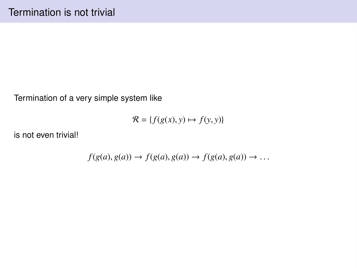Termination of a very simple system like

$$
\mathcal{R} = \{ f(g(x), y) \mapsto f(y, y) \}
$$

is not even trivial!

$$
f(g(a), g(a)) \to f(g(a), g(a)) \to f(g(a), g(a)) \to \dots
$$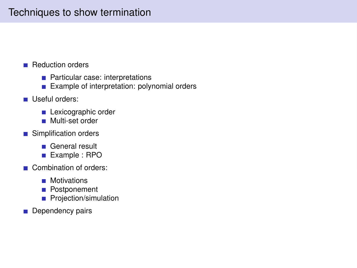## Techniques to show termination

- **Reduction orders** 
	- **Particular case: interpretations**
	- Example of interpretation: polynomial orders
- Useful orders:
	- **Lexicographic order**
	- **Multi-set order**
- Simplification orders
	- General result
	- Example : RPO
- Combination of orders:
	- **Motivations**
	- **Postponement**
	- **Projection/simulation**
- Dependency pairs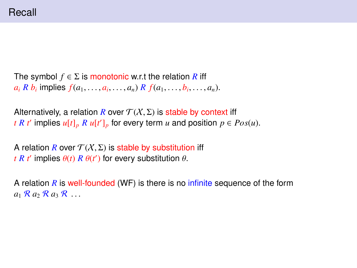## Recall

```
The symbol f \in \Sigma is monotonic w.r.t the relation R iff
a_i R b_i implies f(a_1, \ldots, a_i, \ldots, a_n) R f(a_1, \ldots, b_i, \ldots, a_n).
```

```
Alternatively, a relation R over \mathcal{T}(X,\Sigma) is stable by context iff
t R t<sup></sup> implies u[t]_p R u[t']_p for every term u and position p \in Pos(u).
```
A relation *R* over  $\mathcal{T}(X,\Sigma)$  is stable by substitution iff *t R t*<sup> $\prime$ </sup> implies  $\theta$ (*t*) *R*  $\theta$ (*t*<sup> $\prime$ </sup>) for every substitution  $\theta$ .

A relation *R* is well-founded (WF) is there is no infinite sequence of the form  $a_1 \mathcal{R} a_2 \mathcal{R} a_3 \mathcal{R} \ldots$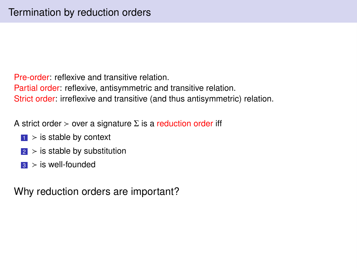Pre-order: reflexive and transitive relation. Partial order: reflexive, antisymmetric and transitive relation. Strict order: irreflexive and transitive (and thus antisymmetric) relation.

A strict order  $>$  over a signature  $\Sigma$  is a reduction order iff

- $\vert \cdot \vert$  > is stable by context
- $\sqrt{2}$  > is stable by substitution
- $\mathbf{3}$  > is well-founded

Why reduction orders are important?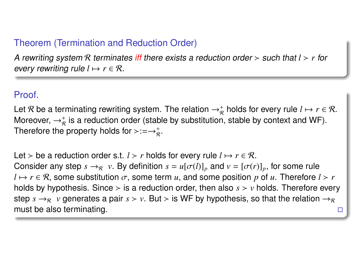## Theorem (Termination and Reduction Order)

A rewriting system R terminates iff there exists a reduction order  $>$  such that  $l > r$  for every rewriting rule  $l \mapsto r \in \mathcal{R}$ .

#### Proof.

Let  $\mathcal R$  be a terminating rewriting system. The relation  $\to_\mathcal R^+$  holds for every rule  $l \mapsto r \in \mathcal R$ . Moreover,  $\rightarrow_{\mathcal{R}}^+$  is a reduction order (stable by substitution, stable by context and WF). Therefore the property holds for  $\succ := \rightarrow_{\mathcal{R}}^+$ .

Let > be a reduction order s.t. *l* > *r* holds for every rule  $l \mapsto r \in \mathcal{R}$ . Consider any step  $s \to_R^R v$ . By definition  $s = u[\sigma(l)]_p$  and  $v = [\sigma(r)]_p$ , for some rule  $l \mapsto r \in \mathcal{R}$ , some substitution  $\sigma$ , some term *u*, and some position *p* of *u*. Therefore  $l > r$ holds by hypothesis. Since  $>$  is a reduction order, then also  $s > v$  holds. Therefore every step  $s \rightarrow_R v$  generates a pair  $s > v$ . But  $>$  is WF by hypothesis, so that the relation  $\rightarrow_R$ must be also terminating.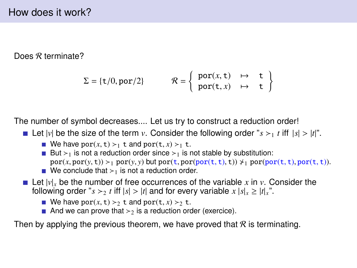Does R terminate?

$$
\Sigma = \{ \mathsf{t}/0, \mathrm{por}/2 \} \qquad \mathcal{R} = \left\{ \begin{array}{lcl} \mathrm{por}(x, \mathsf{t}) & \mapsto & \mathsf{t} \\ \mathrm{por}(\mathsf{t}, x) & \mapsto & \mathsf{t} \end{array} \right\}
$$

The number of symbol decreases.... Let us try to construct a reduction order!

- Let  $|v|$  be the size of the term *v*. Consider the following order " $s > t$  t iff  $|s| > |t|$ ".
	- We have  $por(x, t) >_1 t$  and  $por(t, x) >_1 t$ .
	- But  $>1$  is not a reduction order since  $>1$  is not stable by substitution:  $por(x, por(y, t)) >_1 por(y, y)$  but  $por(t, por(por(t, t), t)) \nless_1 por(por(t, t), por(t, t)).$  $\blacksquare$  We conclude that  $\gt_1$  is not a reduction order.
- Let  $|v|$ <sub>x</sub> be the number of free occurrences of the variable x in v. Consider the following order " $s > t$  iff  $|s| > |t|$  and for every variable  $x |s| = |t|$ <sup>n</sup>.".
	- We have por(x, t)  $>$  t and por(t, x)  $>$  t.
	- And we can prove that  $>2$  is a reduction order (exercice).

Then by applying the previous theorem, we have proved that  $R$  is terminating.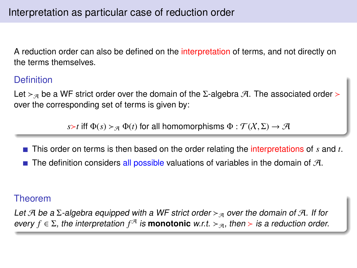A reduction order can also be defined on the interpretation of terms, and not directly on the terms themselves.

#### **Definition**

Let  $>_{\mathcal{A}}$  be a WF strict order over the domain of the Σ-algebra A. The associated order  $>$ over the corresponding set of terms is given by:

*s* $\ge$ *t* iff  $\Phi(s) \geq_{\mathcal{A}} \Phi(t)$  for all homomorphisms  $\Phi : \mathcal{T}(X, \Sigma) \to \mathcal{A}$ 

- This order on terms is then based on the order relating the interpretations of *s* and *t*.
- The definition considers all possible valuations of variables in the domain of  $H$ .

#### Theorem

Let A be a  $\Sigma$ -algebra equipped with a WF strict order  $\succ_{\mathcal{A}}$  over the domain of A. If for every  $f \in \Sigma$ , the interpretation  $f^{\mathcal{A}}$  is **monotonic** w.r.t.  $\gt_{\mathcal{A}}$ , then  $\gt$  is a reduction order.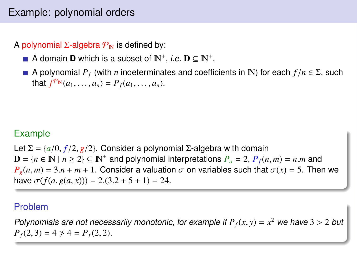# Example: polynomial orders

A polynomial  $\Sigma$ -algebra  $P_{\rm N}$  is defined by:

- A domain **D** which is a subset of  $\mathbb{N}^+$ , *i.e.*  $\mathbf{D} \subseteq \mathbb{N}^+$ .
- A polynomial  $P_f$  (with *n* indeterminates and coefficients in N) for each  $f/n \in \Sigma$ , such that  $f^{\mathcal{P}_{\mathbb{N}}}(a_1, \ldots, a_n) = P_f(a_1, \ldots, a_n)$ .

## Example

Let  $\Sigma = \{a/0, f/2, g/2\}$ . Consider a polynomial Σ-algebra with domain  $\mathbf{D} = \{n \in \mathbb{N} \mid n \ge 2\} \subseteq \mathbb{N}^+$  and polynomial interpretations  $P_a = 2$ ,  $P_f(n, m) = n \cdot m$  and  $P_a(n, m) = 3 \cdot n + m + 1$ . Consider a valuation  $\sigma$  on variables such that  $\sigma(x) = 5$ . The  $P_g(n,m) = 3.n + m + 1$ . Consider a valuation  $\sigma$  on variables such that  $\sigma(x) = 5$ . Then we have  $\sigma(f(a, g(a, x))) = 2(3.2 + 5 + 1) = 24$ .

## Problem

Polynomials are not necessarily monotonic, for example if  $P_f(x, y) = x^2$  we have  $3 > 2$  but  $P_f(2, 3) = 4 \times 4 = P_f(2, 2)$  $P_f(2, 3) = 4 \neq 4 = P_f(2, 2).$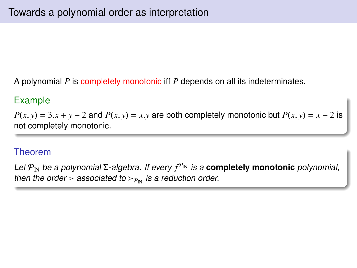A polynomial *P* is completely monotonic iff *P* depends on all its indeterminates.

## Example

 $P(x, y) = 3 \cdot x + y + 2$  and  $P(x, y) = x \cdot y$  are both completely monotonic but  $P(x, y) = x + 2$  is not completely monotonic.

## Theorem

Let P<sub>N</sub> be a polynomial Σ-algebra. If every  $f^{\mathcal{P}_N}$  is a **completely monotonic** polynomial, then the order > associated to  $>_{P_{\text{N}}}$  is a reduction order.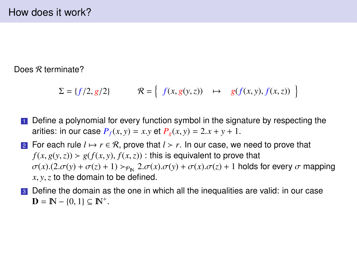Does R terminate?

$$
\Sigma = \{f/2, g/2\} \qquad \mathcal{R} = \left\{ \begin{array}{ccc} f(x, g(y, z)) & \mapsto & g(f(x, y), f(x, z)) \end{array} \right\}
$$

- **1** Define a polynomial for every function symbol in the signature by respecting the arities: in our case  $P_f(x, y) = x \cdot y$  et  $P_g(x, y) = 2 \cdot x + y + 1$ .
- 2 For each rule  $l \mapsto r \in \mathcal{R}$ , prove that  $l > r$ . In our case, we need to prove that  $f(x, g(y, z)) > g(f(x, y), f(x, z))$ : this is equivalent to prove that  $\sigma(x)$ .(2. $\sigma(y) + \sigma(z) + 1$ )  $>_{\rho_{\text{N}}}$  2. $\sigma(x)$ . $\sigma(y) + \sigma(x)$ . $\sigma(z) + 1$  holds for every  $\sigma$  mapping *<sup>x</sup>*, *<sup>y</sup>*,*<sup>z</sup>* to the domain to be defined.
- **3** Define the domain as the one in which all the inequalities are valid: in our case  $D = \mathbb{N} - \{0, 1\} \subseteq \mathbb{N}^+.$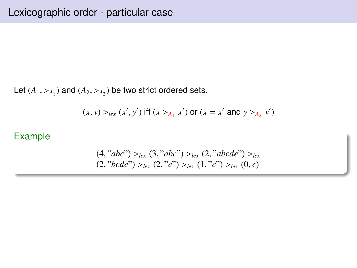Let  $(A_1, >_{A_1})$  and  $(A_2, >_{A_2})$  be two strict ordered sets.

$$
(x, y) >_{lex} (x', y')
$$
 iff  $(x >_{A_1} x')$  or  $(x = x' \text{ and } y >_{A_2} y')$ 

## Example

$$
(4, "abc") >_{lex} (3, "abc") >_{lex} (2, "abcde") >_{lex}
$$

$$
(2, "bcde") >_{lex} (2, "e") >_{lex} (1, "e") >_{lex} (0, \epsilon)
$$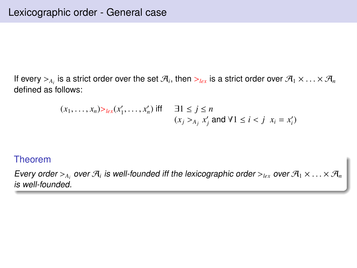If every  $>_{A_i}$  is a strict order over the set  $\mathcal{A}_i$ , then  $>_{lex}$  is a strict order over  $\mathcal{A}_1 \times \ldots \times \mathcal{A}_n$ <br>defined as follows: defined as follows:

$$
(x_1, \ldots, x_n) >_{lex}(x'_1, \ldots, x'_n) \text{ iff } \quad \exists 1 \le j \le n
$$
\n
$$
(x_j >_{A_j} x'_j \text{ and } \forall 1 \le i < j \ \ x_i = x'_i)
$$

#### Theorem

Every order  $\geq_{A_i}$  over  $\mathcal{A}_i$  is well-founded iff the lexicographic order  $\geq_{lex}$  over  $\mathcal{A}_1 \times \ldots \times \mathcal{A}_n$ <br>is well-founded is well-founded.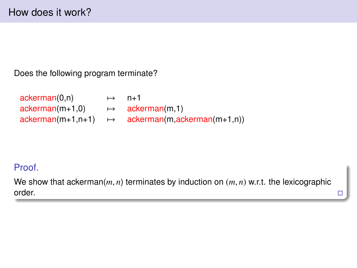Does the following program terminate?

| ackerman(0,n)     | $\mapsto$ | $n+1$                                                       |
|-------------------|-----------|-------------------------------------------------------------|
| $ackerman(m+1,0)$ |           | $\mapsto$ ackerman(m,1)                                     |
|                   |           | $ackerman(m+1,n+1) \rightarrow ackerman(m,ackerman(m+1,n))$ |

## Proof.

We show that ackerman(*m*, *n*) terminates by induction on (*m*, *n*) w.r.t. the lexicographic order.  $\Box$ order.  $\Box$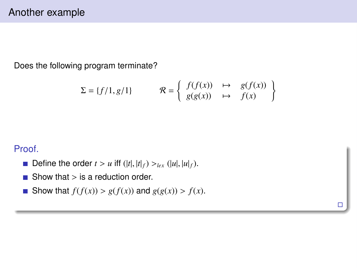Does the following program terminate?

$$
\Sigma = \{f/1, g/1\} \qquad \mathcal{R} = \left\{ \begin{array}{ccc} f(f(x)) & \mapsto & g(f(x)) \\ g(g(x)) & \mapsto & f(x) \end{array} \right\}
$$

 $\Box$ 

Proof.

- Define the order  $t > u$  iff  $(|t|, |t|_f) >_{lex} (|u|, |u|_f)$ .
- $\blacksquare$  Show that  $>$  is a reduction order.
- Show that  $f(f(x)) > g(f(x))$  and  $g(g(x)) > f(x)$ .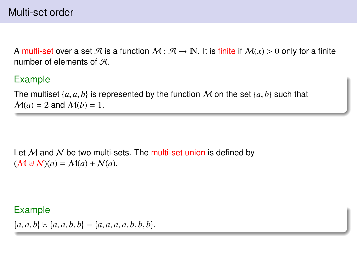A multi-set over a set A is a function  $M : \mathcal{A} \to \mathbb{N}$ . It is finite if  $M(x) > 0$  only for a finite number of elements of  $H$ .

## Example

The multiset  $\{a, a, b\}$  is represented by the function M on the set  $\{a, b\}$  such that  $M(a) = 2$  and  $M(b) = 1$ .

Let  $M$  and  $N$  be two multi-sets. The multi-set union is defined by  $(M \oplus N)(a) = M(a) + N(a).$ 

#### Example

 ${a, a, b} \ \forall {a, a, b, b} = {a, a, a, a, b, b, b}.$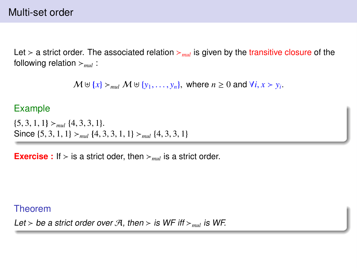Let  $>$  a strict order. The associated relation  $>_{mul}$  is given by the transitive closure of the following relation  $>_{mul}$ :

```
M \cup \{x\} >_{mul} M \cup \{y_1, \ldots, y_n\}, where n \geq 0 and \forall i, x > y_i.
```
#### Example

 $\{5, 3, 1, 1\}$  > mul  $\{4, 3, 3, 1\}$ . Since  $\{5, 3, 1, 1\}$   $>_{mul}$   $\{4, 3, 3, 1, 1\}$   $>_{mul}$   $\{4, 3, 3, 1\}$ 

**Exercise :** If  $>$  is a strict oder, then  $>_{mul}$  is a strict order.

#### Theorem

Let > be a strict order over  $\mathcal{A}$ , then > is WF iff  $>_{mul}$  is WF.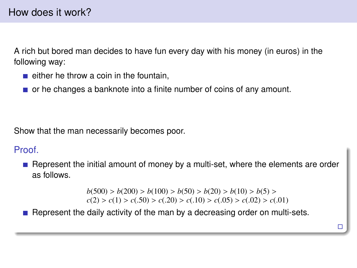A rich but bored man decides to have fun every day with his money (in euros) in the following way:

- $\blacksquare$  either he throw a coin in the fountain.
- $\blacksquare$  or he changes a banknote into a finite number of coins of any amount.

Show that the man necessarily becomes poor.

## **Proof**

Represent the initial amount of money by a multi-set, where the elements are order as follows.

> *b*(500) > *b*(200) > *b*(100) > *b*(50) > *b*(20) > *b*(10) > *b*(5) > *c*(2) > *c*(1) > *c*(50) > *c*(20) > *c*(30) > *c*(32) > *c*(  $c(2) > c(1) > c(.50) > c(.20) > c(.10) > c(.05) > c(.02) > c(.01)$

> > $\Box$

**Represent the daily activity of the man by a decreasing order on multi-sets.**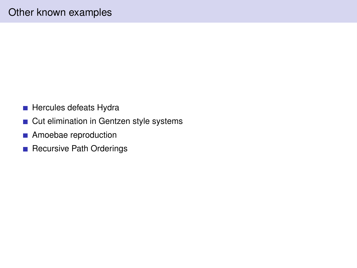- **Hercules defeats Hydra**
- **Cut elimination in Gentzen style systems**
- **Amoebae reproduction**
- Recursive Path Orderings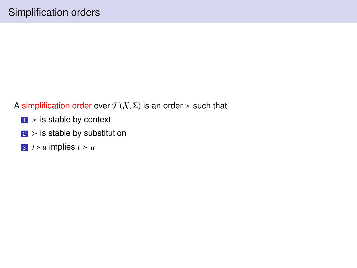#### A simplification order over  $\mathcal{T}(X,\Sigma)$  is an order  $>$  such that

- $\blacksquare$  > is stable by context
- $\vert$  > is stable by substitution
- $\boxed{3}$  *t*  $\triangleright$  *u* implies *t*  $\gt$  *u*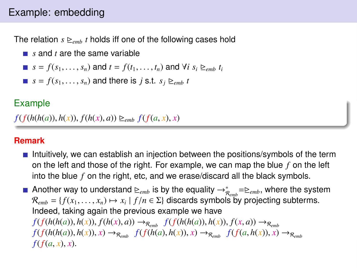# Example: embedding

The relation  $s \geq_{emb} t$  holds iff one of the following cases hold

- *s* and *t* are the same variable
- $s = f(s_1, \ldots, s_n)$  and  $t = f(t_1, \ldots, t_n)$  and  $\forall i$   $s_i \geq_{emb} t_i$
- $s = f(s_1, \ldots, s_n)$  and there is *j* s.t.  $s_i \geq_{emb} t$

## Example

 $f(f(h(h(a)), h(x)), f(h(x), a)) \geq_{emb} f(f(a, x), x)$ 

#### **Remark**

- Intuitively, we can establish an injection between the positions/symbols of the term on the left and those of the right. For example, we can map the blue *f* on the left into the blue *f* on the right, etc, and we erase/discard all the black symbols.
- Another way to understand  $\trianglerighteq_{emb}$  is by the equality  $\rightarrow_{R_{emb}}^*=\triangleright_{emb}$ , where the system  $\mathcal{R}_{emb} = \{f(x_1, \ldots, x_n) \mapsto x_i \mid f/n \in \Sigma\}$  discards symbols by projecting subterms.<br>Indeed, taking again the previous example we have Indeed, taking again the previous example we have  $f(f(h(h(a)), h(x)), f(h(x), a)) \rightarrow_{\mathcal{R}_{emb}} f(f(h(h(a)), h(x)), f(x, a)) \rightarrow_{\mathcal{R}_{emb}}$  $f(f(h(h(a)), h(x)), x) \rightarrow_{\mathcal{R}_{emb}} f(f(h(a), h(x)), x) \rightarrow_{\mathcal{R}_{emb}} f(f(a, h(x)), x) \rightarrow_{\mathcal{R}_{emb}}$  $f(f(a, x), x)$ .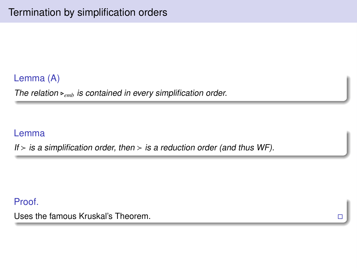## Lemma (A)

The relation  $\triangleright_{emb}$  is contained in every simplification order.

#### Lemma

If  $>$  is a simplification order, then  $>$  is a reduction order (and thus WF).

Proof.

Uses the famous Kruskal's Theorem.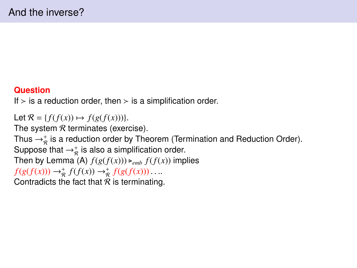#### **Question**

If  $>$  is a reduction order, then  $>$  is a simplification order.

Let  $\mathcal{R} = \{f(f(x)) \mapsto f(g(f(x)))\}.$ 

The system  $R$  terminates (exercise).

Thus  $\rightarrow^*_{\mathcal{R}}$  is a reduction order by Theorem (Termination and Reduction Order).

Suppose that  $\rightarrow_{\mathcal{R}}^+$  is also a simplification order.

Then by Lemma (A)  $f(g(f(x))) \ge_{emb} f(f(x))$  implies

 $f(g(f(x))) \rightarrow_{\mathcal{R}}^+ f(f(x)) \rightarrow_{\mathcal{R}}^+ f(g(f(x))) \dots$ <br>Contradicts the fact that  $\mathcal R$  is terminating

Contradicts the fact that  $R$  is terminating.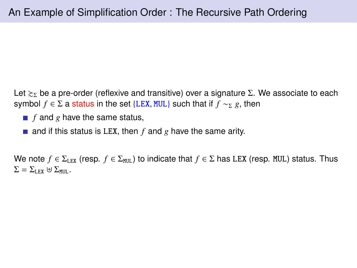Let  $\gtrsim_{\Sigma}$  be a pre-order (reflexive and transitive) over a signature Σ. We associate to each symbol  $f \in \Sigma$  a status in the set {LEX, MUL} such that if  $f \sim_{\Sigma} g$ , then

- $\blacksquare$  *f* and *g* have the same status,
- and if this status is LEX, then  $f$  and  $g$  have the same arity.

We note  $f \in \Sigma_{LEX}$  (resp.  $f \in \Sigma_{MUL}$ ) to indicate that  $f \in \Sigma$  has LEX (resp. MUL) status. Thus  $\Sigma = \Sigma_{\text{LFX}} \oplus \Sigma_{\text{MHI}}$ .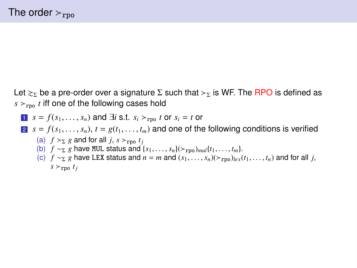Let  $\gtrsim_{\Sigma}$  be a pre-order over a signature  $\Sigma$  such that  $\gtrsim_{\Sigma}$  is WF. The RPO is defined as  $s >_{\text{rpo}} t$  iff one of the following cases hold

$$
s = f(s_1, \dots, s_n) \text{ and } \exists i \text{ s.t. } s_i >_{\text{rpo}} t \text{ or } s_i = t \text{ or }
$$

**2** 
$$
s = f(s_1, \ldots, s_n)
$$
,  $t = g(t_1, \ldots, t_m)$  and one of the following conditions is verified  
(a)  $f >_{\Sigma} g$  and for all j,  $s >_{\text{rpo}} t_j$ 

- 
- (b)  $f \sim_{\Sigma} g$  have MUL status and  $\{s_1, \ldots, s_n\}$ ( $\succ_{\text{rno}}$ )<sub>mul</sub>{ $t_1, \ldots, t_m$ }.
- (c)  $f \sim_{\Sigma} g$  have LEX status and  $n = m$  and  $(s_1, \ldots, s_n)(\succ_{\text{rno}})_{l \in \Sigma}(t_1, \ldots, t_n)$  and for all *j*,  $s \geq r$ po  $t_j$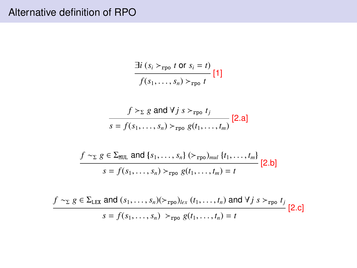# Alternative definition of RPO

$$
\frac{\exists i \ (s_i \succ_{\text{rpo}} t \ \text{or} \ s_i = t)}{f(s_1, \ldots, s_n) \succ_{\text{rpo}} t} \ [1]
$$

$$
\frac{f >_{\Sigma} g \text{ and } \forall j \ s >_{\text{rpo}} t_j}{s = f(s_1, \dots, s_n) >_{\text{rpo}} g(t_1, \dots, t_m)} \text{[2.a]}
$$

$$
\frac{f \sim_{\Sigma} g \in \Sigma_{\text{MUL}} \text{ and } \{s_1, \ldots, s_n\} \left(>_{\text{rpo}}\right)_{\text{mul}} \{t_1, \ldots, t_m\}}{s = f(s_1, \ldots, s_n) >_{\text{rpo}} g(t_1, \ldots, t_m) = t} \quad [2.b]
$$

$$
\frac{f \sim_{\Sigma} g \in \Sigma_{\text{LEX}} \text{ and } (s_1, \dots, s_n) (\succ_{\text{rpo}})_{lex} (t_1, \dots, t_n) \text{ and } \forall j \ s \succ_{\text{rpo}} t_j}{s = f(s_1, \dots, s_n) \succ_{\text{rpo}} g(t_1, \dots, t_n) = t} [2.c]
$$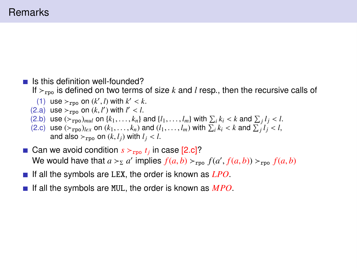## **Remarks**

- $\blacksquare$  Is this definition well-founded? If  $r_{\text{rpo}}$  is defined on two terms of size *k* and *l* resp., then the recursive calls of
	- (1) use  $>_{\text{rpo}}$  on  $(k', l)$  with  $k' < k$ .<br>(a) use  $>_{\text{rmo}}$  on  $(k, l')$  with  $l' < l$ .
	- (2.a) use  $>_{\text{rpo}}$  on  $(k, l')$  with  $l' < l$ .<br>(2.b) use  $(>_{\text{rno}})_{mnl}$  on  $\{k_1, \ldots, k_n\}$  $\prime$ ) with  $l'$
	- (2.b) use  $(\varepsilon_{\text{rpo}})_{mul}$  on  $\{k_1, \ldots, k_n\}$  and  $\{l_1, \ldots, l_m\}$  with  $\sum_i k_i < k$  and  $\sum_j l_j < l$ .<br>(2.c) use  $(\varepsilon_{\text{rno}})_{l_i \in \mathbb{N}}$  on  $(k_1, \ldots, k_n)$  and  $(l_1, \ldots, l_m)$  with  $\sum_i k_i < k$  and  $\sum_i l_i < l$ .
	- (2.c) use  $(\varepsilon_{\text{rpo}})_{lex}$  on  $(k_1, \ldots, k_n)$  and  $(l_1, \ldots, l_m)$  with  $\sum_i k_i < k$  and  $\sum_j l_j < l$ , and also  $\varepsilon_{\text{rmo}}$  on  $(k, l_i)$  with  $l_i < l$ and also  $>_{\text{rno}}$  on  $(k, l_i)$  with  $l_i < l$ .
- Can we avoid condition  $s \succ_{\text{rpo}} t_j$  in case [2.c]? We would have that  $a >_2 a'$  implies  $f(a, b) >_{\text{rpo}} f(a', f(a, b)) >_{\text{rpo}} f(a, b)$
- If all the symbols are LEX, the order is known as *LPO*.
- If all the symbols are MUL, the order is known as *MPO*.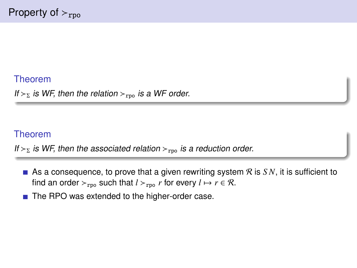#### Theorem

If  $\gtrsim$  is WF, then the relation  $\gtrsim$ <sub>rpo</sub> is a WF order.

## Theorem

If  $>_p$  is WF, then the associated relation  $>_{\text{rpo}}$  is a reduction order.

- As a consequence, to prove that a given rewriting system  $R$  is  $SN$ , it is sufficient to find an order  $r_{\text{rpo}}$  such that  $l >_{\text{rpo}} r$  for every  $l \mapsto r \in \mathcal{R}$ .
- The RPO was extended to the higher-order case.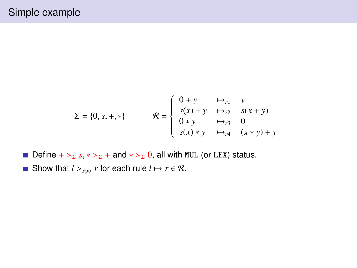$$
\Sigma = \{0, s, +, *\} \qquad \mathcal{R} = \begin{cases} 0 + y & \mapsto_{r1} & y \\ s(x) + y & \mapsto_{r2} & s(x + y) \\ 0 * y & \mapsto_{r3} & 0 \\ s(x) * y & \mapsto_{r4} & (x * y) + y \end{cases}
$$

- Define +  $>\Sigma$  *s*, \*  $>\Sigma$  + and \*  $>\Sigma$  0, all with MUL (or LEX) status.
- Show that  $l >_{\text{rpo}} r$  for each rule  $l \mapsto r \in \mathcal{R}$ .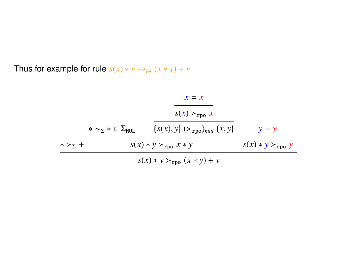Thus for example for rule  $s(x) * y \mapsto_{r^4} (x * y) + y$ 

|                  |                                             | $x = x$<br>$S(x) >_{\text{rpo}} x$                |                             |
|------------------|---------------------------------------------|---------------------------------------------------|-----------------------------|
|                  | $* \sim_{\Sigma} * \in \Sigma_{\text{MII}}$ | ${s(x), y}$ $(\succ_{\text{rpo}})_{mul}$ ${x, y}$ | $y = y$                     |
| $* >_{\Sigma}$ + | $s(x) * y >_{\text{rpo}} x * y$             |                                                   | $s(x) * y >_{\text{rpo}} y$ |
|                  |                                             | $s(x) * y >_{\text{rpo}} (x * y) + y$             |                             |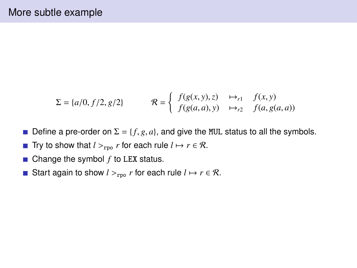$$
\Sigma = \{a/0, f/2, g/2\} \qquad \mathcal{R} = \begin{cases} f(g(x, y), z) & \mapsto_{r1} & f(x, y) \\ f(g(a, a), y) & \mapsto_{r2} & f(a, g(a, a)) \end{cases}
$$

- Define a pre-order on  $\Sigma = \{f, g, a\}$ , and give the MUL status to all the symbols.  $\mathcal{L}_{\mathcal{A}}$
- **■** Try to show that  $l >_{\text{rpo}} r$  for each rule  $l \mapsto r \in \mathcal{R}$ .
- $\blacksquare$  Change the symbol  $f$  to LEX status.
- Start again to show  $l >_{\text{rno}} r$  for each rule  $l \mapsto r \in \mathcal{R}$ .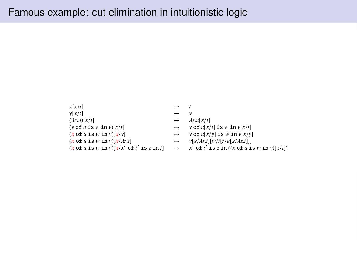```
x[x/t] \mapsto t<br>
y[x/t] \mapsto 1
 y[x/t] \rightarrow y<br>(dz u)[x/t] \rightarrow d
(\lambda z.u[x/t]<br>
(y of u is w in v)[x/t] \mapsto \lambda z.u[x/t]<br>
\mapsto y of u[x/t] is w in v[x/t]
(x \text{ of } u \text{ is } w \text{ in } v)[x/y] \longrightarrow y \text{ of } u[x/y] \text{ is } w \text{ in } v[x/y](x \text{ of } u \text{ is } w \text{ in } v)[x/\lambda z.1] \mapsto v[x/\lambda z.1][w/t[z/u[x/\lambda z.1]]](x \text{ of } u \text{ is } w \text{ in } v)[x/\lambda z.1] \mapsto v[x/\lambda z.1][w/t[z/u[x/\lambda z.1]]<br>
(x \text{ of } u \text{ is } w \text{ in } v)[x/x' \text{ of } t' \text{ is } z \text{ in } t] \mapsto x' \text{ of } t' \text{ is } z \text{ in } ((x \text{ of } u \text{ is } v \text{ in } v)[x/\lambda z.1])\int of t' is z in ((x of u is w in v)[x/t])
```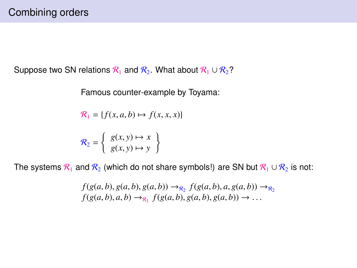Suppose two SN relations  $\mathcal{R}_1$  and  $\mathcal{R}_2$ . What about  $\mathcal{R}_1 \cup \mathcal{R}_2$ ?

Famous counter-example by Toyama:

$$
\mathcal{R}_1 = \{ f(x, a, b) \mapsto f(x, x, x) \}
$$

$$
\mathcal{R}_2 = \left\{ \begin{array}{c} g(x, y) \mapsto x \\ g(x, y) \mapsto y \end{array} \right\}
$$

The systems  $\mathcal{R}_1$  and  $\mathcal{R}_2$  (which do not share symbols!) are SN but  $\mathcal{R}_1 \cup \mathcal{R}_2$  is not:

$$
f(g(a, b), g(a, b), g(a, b)) \to_{\mathcal{R}_2} f(g(a, b), a, g(a, b)) \to_{\mathcal{R}_2} f(g(a, b), a, b) \to_{\mathcal{R}_1} f(g(a, b), g(a, b), g(a, b)) \to \dots
$$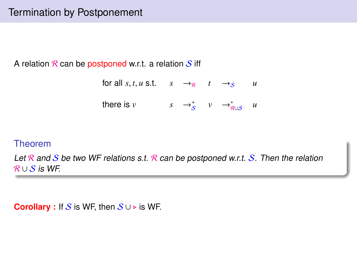A relation  $\mathcal R$  can be postponed w.r.t. a relation  $\mathcal S$  iff

for all *s*, *t*, *u* s.t.  $s \rightarrow_R t \rightarrow_S u$ there is  $v$   $s \rightarrow_{\mathcal{S}}^{+}$   $v \rightarrow_{\mathcal{R}\cup\mathcal{S}}^{*}$ *u*

#### Theorem

Let R and S be two WF relations s.t. R can be postponed w.r.t. S. Then the relation  $R \cup S$  is WF.

**Corollary :** If S is WF, then  $S \cup \triangleright$  is WF.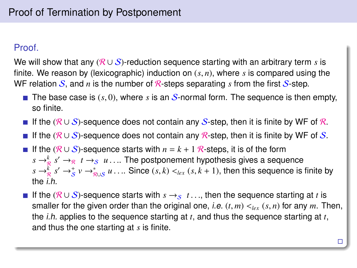#### Proof.

We will show that any ( $\mathcal{R} \cup \mathcal{S}$ )-reduction sequence starting with an arbitrary term *s* is finite. We reason by (lexicographic) induction on (*s*, *<sup>n</sup>*), where *<sup>s</sup>* is compared using the WF relation  $S$ , and *n* is the number of R-steps separating *s* from the first  $S$ -step.

- **The base case is**  $(s, 0)$ , where *s* is an *S*-normal form. The sequence is then empty, so finite.
- If the  $(R \cup S)$ -sequence does not contain any S-step, then it is finite by WF of R.
- **If the (R ∪ S)-sequence does not contain any R-step, then it is finite by WF of S.**
- **■** If the  $(R \cup S)$ -sequence starts with  $n = k + 1$  R-steps, it is of the form  $s \rightarrow_{\mathbb{R}}^k s' \rightarrow_{\mathbb{R}} t \rightarrow_{S} u$ .... The postponement hypothesis gives a sequence  $s \rightarrow_{S}^k s' \rightarrow_{S}^t v \rightarrow_{S}^t u$  Since  $(s, k) \leq_{S} (s, k+1)$ , then this sequence is  $s \to_{\mathcal{R}}^k s' \to_{\mathcal{S}}^* v \to_{\mathcal{R}\cup\mathcal{S}}^* u \ldots$  Since  $(s, k) <_{lex} (s, k + 1)$ , then this sequence is finite by the the i.h.
- **■** If the ( $\mathcal{R} \cup \mathcal{S}$ )-sequence starts with  $s \rightarrow s$   $t \dots$ , then the sequence starting at *t* is smaller for the given order than the original one, *i.e.*  $(t, m) <_{lex} (s, n)$  for any *m*. Then, the i.h. applies to the sequence starting at *t*, and thus the sequence starting at *t*, and thus the one starting at *s* is finite.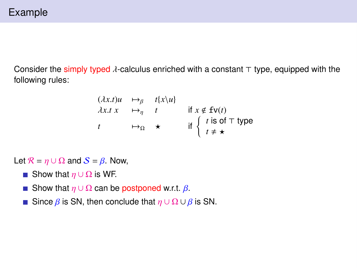## Example

Consider the simply typed  $\lambda$ -calculus enriched with a constant  $\tau$  type, equipped with the following rules:

$$
\begin{array}{rcl}\n(\lambda x.t) u & \mapsto_{\beta} & t[x \setminus u] \\
\lambda x.t \quad x & \mapsto_{\eta} & t \quad \text{if } x \notin \text{fv}(t) \\
t & \mapsto_{\Omega} & \star \quad \text{if } \left\{ \begin{array}{l} t \text{ is of } \top \text{ type} \\
t \neq \star \end{array} \right.\n\end{array}
$$

Let  $\mathcal{R} = \eta \cup \Omega$  and  $\mathcal{S} = \beta$ . Now,

- Show that  $η ∪ Ω$  is WF.
- Show that  $\eta \cup \Omega$  can be postponed w.r.t.  $\beta$ .
- Since  $\beta$  is SN, then conclude that  $η ∪ Ω ∪ β$  is SN.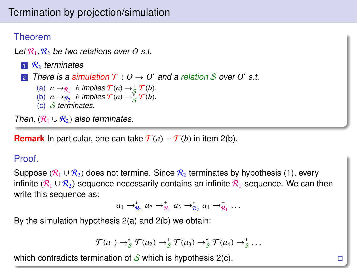# Termination by projection/simulation

## Theorem

Let  $\mathcal{R}_1, \mathcal{R}_2$  be two relations over *O* s.t.

- $\mathbb{R}^2$  terminates
- 2 There is a simulation  $\mathcal{T}: O \to O'$  and a relation S over O' s.t.
	- (a)  $a \rightarrow_{\mathcal{R}_1} b$  implies  $\mathcal{T}(a) \rightarrow_{\mathcal{S}}^+ \mathcal{T}(b)$ ,
	- (b)  $a \rightarrow_{\mathcal{R}_2} b$  implies  $\mathcal{T}(a) \rightarrow_{\mathcal{S}}^* \mathcal{T}(b)$ .
	- (c) S terminates.

Then,  $(R_1 \cup R_2)$  also terminates.

**Remark** In particular, one can take  $\mathcal{T}(a) = \mathcal{T}(b)$  in item 2(b).

#### Proof.

Suppose ( $\mathcal{R}_1 \cup \mathcal{R}_2$ ) does not termine. Since  $\mathcal{R}_2$  terminates by hypothesis (1), every infinite ( $\mathcal{R}_1 \cup \mathcal{R}_2$ )-sequence necessarily contains an infinite  $\mathcal{R}_1$ -sequence. We can then write this sequence as:

$$
a_1 \to_{\mathcal{R}_2}^* a_2 \to_{\mathcal{R}_1}^+ a_3 \to_{\mathcal{R}_2}^* a_4 \to_{\mathcal{R}_1}^+ \ldots
$$

By the simulation hypothesis 2(a) and 2(b) we obtain:

$$
\mathcal{T}(a_1) \rightarrow_S^* \mathcal{T}(a_2) \rightarrow_S^* \mathcal{T}(a_3) \rightarrow_S^* \mathcal{T}(a_4) \rightarrow_S^* \ldots
$$

which contradicts termination of  $S$  which is hypothesis  $2(c)$ .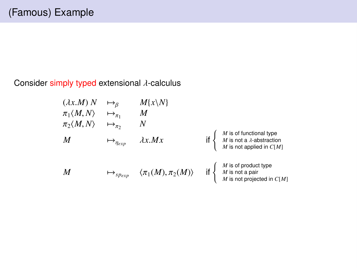## Consider simply typed extensional λ-calculus

$$
(\lambda x.M) N \rightarrow_{\beta} M\{x\} \n\pi_1 \langle M, N \rangle \rightarrow_{\pi_1} M \n\pi_2 \langle M, N \rangle \rightarrow_{\pi_2} N \nM \rightarrow_{\eta_{exp}} \lambda x.Mx
$$
 if  $\begin{cases} M \text{ is of functional type} \\ M \text{ is not a } \lambda\text{-abstraction} \\ M \text{ is not applied in } C[M] \end{cases}$   
\n
$$
M \rightarrow_{\eta_{exp}} \langle \pi_1(M), \pi_2(M) \rangle
$$
 if  $\begin{cases} M \text{ is of product type} \\ M \text{ is not a pair} \\ M \text{ is not a pair} \\ M \text{ is not projected in } C[M] \end{cases}$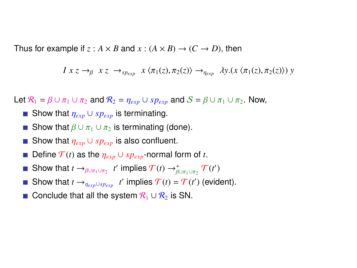Thus for example if  $z : A \times B$  and  $x : (A \times B) \rightarrow (C \rightarrow D)$ , then

$$
I x z \rightarrow_{\beta} x z \rightarrow_{sp_{exp}} x \langle \pi_1(z), \pi_2(z) \rangle \rightarrow_{\eta_{exp}} \lambda y.(x \langle \pi_1(z), \pi_2(z) \rangle) y
$$

Let  $\mathcal{R}_1 = \beta \cup \pi_1 \cup \pi_2$  and  $\mathcal{R}_2 = \eta_{exp} \cup sp_{exp}$  and  $\mathcal{S} = \beta \cup \pi_1 \cup \pi_2$ . Now,

- Show that  $\eta_{exp}$  ∪  $sp_{exp}$  is terminating.
- Show that  $\beta \cup \pi_1 \cup \pi_2$  is terminating (done).
- Show that  $η_{exp} ∪ sp_{exp}$  is also confluent.
- Define  $\mathcal{T}(t)$  as the  $\eta_{exp} \cup sp_{exp}$ -normal form of *t*.  $\mathcal{L}_{\mathcal{A}}$
- Show that  $t \to_{\beta \cup \pi_1 \cup \pi_2} t'$  implies  $\mathcal{T}(t) \to_{\beta \cup \pi_1 \cup \pi_2}^{\ast} \mathcal{T}(t')$
- Show that  $t \rightarrow_{\eta_{exp} \cup sp_{exp}} t'$  implies  $\mathcal{T}(t) = \mathcal{T}(t')$  (evident).
- Conclude that all the system  $\mathcal{R}_1 \cup \mathcal{R}_2$  is SN.